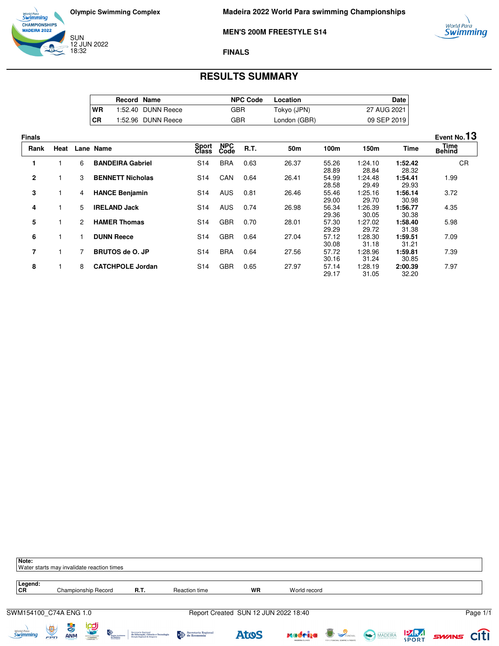

world Para<br>**Swimming** 

### **MEN'S 200M FREESTYLE S14**

### **FINALS**

# **RESULTS SUMMARY**

|           | <b>Record Name</b> |                    | <b>NPC Code</b> | Location     | Date l      |
|-----------|--------------------|--------------------|-----------------|--------------|-------------|
| WR        |                    | 1:52.40 DUNN Reece | GBR             | Tokyo (JPN)  | 27 AUG 2021 |
| <b>CR</b> |                    | 1:52.96 DUNN Reece | GBR             | London (GBR) | 09 SEP 2019 |

| <b>Finals</b>  |      |                      |                         |                       |                    |      |                 |                |                   |                  | Event No.13                  |
|----------------|------|----------------------|-------------------------|-----------------------|--------------------|------|-----------------|----------------|-------------------|------------------|------------------------------|
| Rank           | Heat |                      | Lane Name               | Sport<br><b>Class</b> | <b>NPC</b><br>Code | R.T. | 50 <sub>m</sub> | 100m           | 150m              | <b>Time</b>      | <b>Time</b><br><b>Behind</b> |
|                |      | 6                    | <b>BANDEIRA Gabriel</b> | S <sub>14</sub>       | <b>BRA</b>         | 0.63 | 26.37           | 55.26<br>28.89 | 1:24.10<br>28.84  | 1:52.42<br>28.32 | <b>CR</b>                    |
| $\mathbf{2}$   |      | 3                    | <b>BENNETT Nicholas</b> | S <sub>14</sub>       | CAN                | 0.64 | 26.41           | 54.99<br>28.58 | 1:24.48<br>29.49  | 1:54.41<br>29.93 | 1.99                         |
| 3              |      | 4                    | <b>HANCE Benjamin</b>   | S <sub>14</sub>       | <b>AUS</b>         | 0.81 | 26.46           | 55.46<br>29.00 | 1:25.16<br>29.70  | 1:56.14<br>30.98 | 3.72                         |
| 4              |      | 5                    | <b>IRELAND Jack</b>     | S <sub>14</sub>       | <b>AUS</b>         | 0.74 | 26.98           | 56.34<br>29.36 | 26.39: ا<br>30.05 | 1:56.77<br>30.38 | 4.35                         |
| 5              |      | $\mathbf{2}^{\circ}$ | <b>HAMER Thomas</b>     | S <sub>14</sub>       | <b>GBR</b>         | 0.70 | 28.01           | 57.30<br>29.29 | 1:27.02<br>29.72  | 1:58.40<br>31.38 | 5.98                         |
| 6              |      |                      | <b>DUNN Reece</b>       | S <sub>14</sub>       | <b>GBR</b>         | 0.64 | 27.04           | 57.12<br>30.08 | 28.30: ا<br>31.18 | 1:59.51<br>31.21 | 7.09                         |
| $\overline{7}$ |      |                      | <b>BRUTOS de O. JP</b>  | S <sub>14</sub>       | <b>BRA</b>         | 0.64 | 27.56           | 57.72<br>30.16 | 1:28.96<br>31.24  | 1:59.81<br>30.85 | 7.39                         |
| 8              |      | 8                    | <b>CATCHPOLE Jordan</b> | S <sub>14</sub>       | <b>GBR</b>         | 0.65 | 27.97           | 57.14<br>29.17 | 1:28.19<br>31.05  | 2:00.39<br>32.20 | 7.97                         |

| Note:<br>Water starts may invalidate reaction times |                      |                                    |                                       |                                |                                                                                          |                     |                                      |              |                                                    |              |                   |          |
|-----------------------------------------------------|----------------------|------------------------------------|---------------------------------------|--------------------------------|------------------------------------------------------------------------------------------|---------------------|--------------------------------------|--------------|----------------------------------------------------|--------------|-------------------|----------|
| Legend:<br><b>CR</b>                                |                      |                                    | Championship Record                   |                                | R.T.                                                                                     | Reaction time       | <b>WR</b>                            | World record |                                                    |              |                   |          |
| SWM154100_C74A ENG 1.0                              |                      |                                    |                                       |                                |                                                                                          |                     | Report Created SUN 12 JUN 2022 18:40 |              |                                                    |              |                   | Page 1/1 |
| <i>World Para</i><br>Swimming                       | $\frac{1}{\sqrt{2}}$ | $\frac{1}{\sqrt{2}}$<br><b>ANM</b> | <b><u>ipa</u></b><br>NOVEMBER 0010120 | Progião Autócom.<br>4a Madeira | Secretaria Regional<br>de Educação, Ciência e Tecnologia<br>Direção Regional de Desporto | Secretaria Regional | <b>AtoS</b>                          | xadeiya      | <b>B</b> SPUNCHAL<br>POR O FUNCHAL SEMPRE A FRENTE | MADEIRA PORT | <b>SWINS CITI</b> |          |